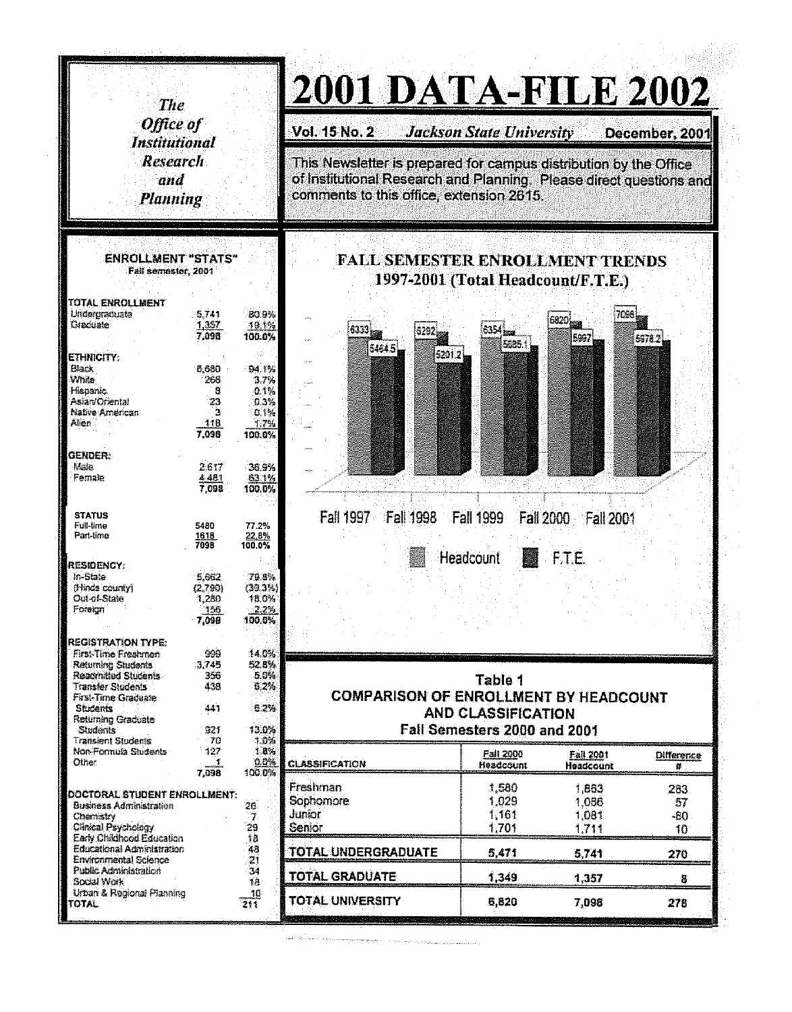| <b>The</b><br>Office of<br><b>Institutional</b><br><b>Research</b><br>and<br><b>Planning</b> |                |                                                                              | 2001 DATA-FILE 2002                                                                                                                                                                  |                                 |                  |                   |  |  |
|----------------------------------------------------------------------------------------------|----------------|------------------------------------------------------------------------------|--------------------------------------------------------------------------------------------------------------------------------------------------------------------------------------|---------------------------------|------------------|-------------------|--|--|
|                                                                                              |                |                                                                              | <b>Vol. 15 No. 2</b>                                                                                                                                                                 | <b>Jackson State University</b> |                  | December, 2001    |  |  |
|                                                                                              |                |                                                                              | This Newsletter is prepared for campus distribution by the Office<br>of Institutional Research and Planning. Please direct questions and<br>comments to this office, extension 2615. |                                 |                  |                   |  |  |
| <b>ENROLLMENT "STATS"</b><br>Fall semester, 2001                                             |                | <b>FALL SEMESTER ENROLLMENT TRENDS</b><br>1997-2001 (Total Headcount/F.T.E.) |                                                                                                                                                                                      |                                 |                  |                   |  |  |
| TOTAL ENROLLMENT                                                                             |                |                                                                              |                                                                                                                                                                                      |                                 |                  |                   |  |  |
| Undergraduate<br>Graduate                                                                    | 5,741<br>1,357 | <b>BO.9%</b><br>19.1%                                                        |                                                                                                                                                                                      |                                 |                  |                   |  |  |
|                                                                                              | 7.098          | 100.0%                                                                       | 6333 <sub>12</sub>                                                                                                                                                                   | 6354                            | 5997             | 5978.2            |  |  |
| ETHNICITY:                                                                                   |                |                                                                              | 5464.5<br>5201.2                                                                                                                                                                     | 5685.1                          |                  |                   |  |  |
| <b>Black</b>                                                                                 | 5.680          | <b>94.1%</b>                                                                 |                                                                                                                                                                                      |                                 |                  |                   |  |  |
| White<br><b>Hispanic</b>                                                                     | 266<br>Ð       | 3.7%<br>0.1%                                                                 |                                                                                                                                                                                      |                                 |                  |                   |  |  |
| Aslan/Oriental                                                                               | 23             | 0.3%                                                                         |                                                                                                                                                                                      |                                 |                  |                   |  |  |
| Native American<br>Alien                                                                     | ٠.             | 0.1%                                                                         |                                                                                                                                                                                      |                                 |                  |                   |  |  |
|                                                                                              | -118<br>7.098  | 1,7%<br>100.0%                                                               |                                                                                                                                                                                      |                                 |                  |                   |  |  |
|                                                                                              |                |                                                                              |                                                                                                                                                                                      |                                 |                  |                   |  |  |
| GENDER:<br>Male                                                                              | 2.617          | 36.9%                                                                        |                                                                                                                                                                                      |                                 |                  |                   |  |  |
| Female                                                                                       | 4,481          | 63.1%                                                                        |                                                                                                                                                                                      |                                 |                  |                   |  |  |
|                                                                                              |                |                                                                              |                                                                                                                                                                                      |                                 |                  |                   |  |  |
|                                                                                              | 7.098          | 100.0%                                                                       |                                                                                                                                                                                      |                                 |                  |                   |  |  |
| <b>STATUS</b>                                                                                |                |                                                                              |                                                                                                                                                                                      |                                 |                  |                   |  |  |
| Full-time                                                                                    | 5480           | 77.2%                                                                        | Fall 1997    Fall 1998    Fall 1999                                                                                                                                                  | Fall 2000                       | <b>Fall 2001</b> |                   |  |  |
| Part-time                                                                                    | 1618<br>7098   | 22.8%<br>100.0%                                                              |                                                                                                                                                                                      |                                 |                  |                   |  |  |
|                                                                                              |                |                                                                              |                                                                                                                                                                                      | Headcount                       | F.T.E.           |                   |  |  |
| <b>RESIDENCY:</b><br>In-State                                                                | 5,662          | 79.8%                                                                        |                                                                                                                                                                                      |                                 |                  |                   |  |  |
| il linds county)                                                                             | (2.790)        | (39.3%)                                                                      |                                                                                                                                                                                      |                                 |                  |                   |  |  |
| Out-of-State<br>Foreign                                                                      | 1,280<br>'156  | 18.0%<br>$-2.2%$                                                             |                                                                                                                                                                                      |                                 |                  |                   |  |  |
|                                                                                              | 7,098          | 100.0%                                                                       |                                                                                                                                                                                      |                                 |                  |                   |  |  |
| <b>REGISTRATION TYPE:</b>                                                                    |                |                                                                              |                                                                                                                                                                                      |                                 |                  |                   |  |  |
| First-Time Freshmen                                                                          | 999            | 14.0%                                                                        |                                                                                                                                                                                      |                                 |                  |                   |  |  |
| Returning Students<br>Readmitted Students                                                    | 3,745<br>356   | 52.8%<br>5.0%                                                                |                                                                                                                                                                                      |                                 |                  |                   |  |  |
| <b>Transfer Students</b>                                                                     | 438            | 6.2%                                                                         |                                                                                                                                                                                      | Table 1                         |                  |                   |  |  |
| <b>First-Time Graduate</b><br><b>Students</b>                                                | $-441$         | 5.2%                                                                         | <b>COMPARISON OF ENROLLMENT BY HEADCOUNT</b>                                                                                                                                         |                                 |                  |                   |  |  |
| Returning Graduate                                                                           |                |                                                                              |                                                                                                                                                                                      | <b>AND CLASSIFICATION</b>       |                  |                   |  |  |
| Students<br><b>Transient Students</b>                                                        | 921<br>T1      | 13.0%<br>1.0%                                                                |                                                                                                                                                                                      | Fall Semesters 2000 and 2001    |                  |                   |  |  |
| Non-Formula Students                                                                         | 127            | 1.8%                                                                         |                                                                                                                                                                                      | Fall 2000                       | Fall 2001        | <b>Difference</b> |  |  |
| <b>Other</b>                                                                                 | 4<br>7,098     | 0.0%<br>100.0%                                                               | <b>CLASSIFICATION</b>                                                                                                                                                                | Headcount                       | Headcount        | 雑                 |  |  |
|                                                                                              |                |                                                                              | Freshman                                                                                                                                                                             | 1,580                           | 1,863            | 283.              |  |  |
| DOCTORAL STUDENT ENROLLMENT:<br>Business Administration                                      |                | 26.                                                                          | Sophomore                                                                                                                                                                            | 1,029                           | 1,086            | 57                |  |  |
| <b>Chemistry</b>                                                                             |                | 7.                                                                           | Junior                                                                                                                                                                               | 1,161                           | 1,081            | $-80.$            |  |  |
| Clinical Psychology<br>Early Childhood Education                                             |                | 23<br>植                                                                      | Senior                                                                                                                                                                               | 1,701                           | 1,711            | 10                |  |  |
| Educational Administration                                                                   |                | 48                                                                           | TOTAL UNDERGRADUATE                                                                                                                                                                  | 5,471                           | 5,741            |                   |  |  |
| Environmental Science<br>Public Administration                                               |                | 21                                                                           |                                                                                                                                                                                      |                                 |                  | 270               |  |  |
| Social Work<br><b>Urban &amp; Regional Planning</b>                                          |                | $\mathcal{A}$<br>18<br>-10                                                   | <b>TOTAL GRADUATE</b>                                                                                                                                                                | 1,349                           | 1,357            | 8                 |  |  |

 $\frac{1}{2}$  ,  $\frac{1}{2}$